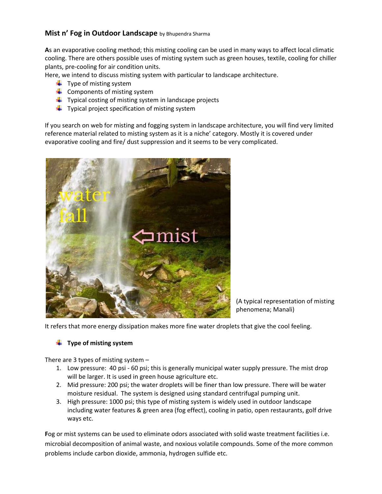# **Mist n' Fog in Outdoor Landscape** by Bhupendra Sharma

**A**s an evaporative cooling method; this misting cooling can be used in many ways to affect local climatic cooling. There are others possible uses of misting system such as green houses, textile, cooling for chiller plants, pre-cooling for air condition units.

Here, we intend to discuss misting system with particular to landscape architecture.

- $\ddot{\bullet}$  Type of misting system
- $\leftarrow$  Components of misting system
- $\downarrow$  Typical costing of misting system in landscape projects
- $\downarrow$  Typical project specification of misting system

If you search on web for misting and fogging system in landscape architecture, you will find very limited reference material related to misting system as it is a niche' category. Mostly it is covered under evaporative cooling and fire/ dust suppression and it seems to be very complicated.



(A typical representation of misting phenomena; Manali)

It refers that more energy dissipation makes more fine water droplets that give the cool feeling.

# **Type of misting system**

There are 3 types of misting system –

- 1. Low pressure: 40 psi 60 psi; this is generally municipal water supply pressure. The mist drop will be larger. It is used in green house agriculture etc.
- 2. Mid pressure: 200 psi; the water droplets will be finer than low pressure. There will be water moisture residual. The system is designed using standard centrifugal pumping unit.
- 3. High pressure: 1000 psi; this type of misting system is widely used in outdoor landscape including water features & green area (fog effect), cooling in patio, open restaurants, golf drive ways etc.

**F**og or mist systems can be used to eliminate odors associated with solid waste treatment facilities i.e. microbial decomposition of animal waste, and noxious volatile compounds. Some of the more common problems include carbon dioxide, ammonia, hydrogen sulfide etc.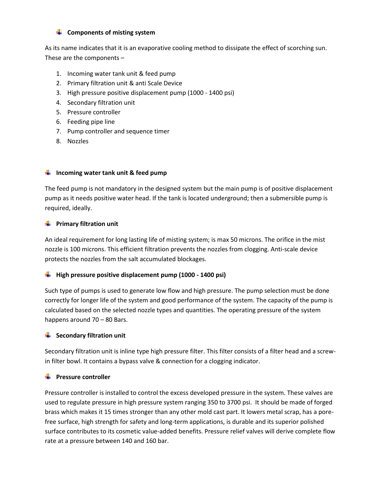# **EXECOMPONENTS OF MISTING SYSTEM**

As its name indicates that it is an evaporative cooling method to dissipate the effect of scorching sun. These are the components –

- 1. Incoming water tank unit & feed pump
- 2. Primary filtration unit & anti Scale Device
- 3. High pressure positive displacement pump (1000 1400 psi)
- 4. Secondary filtration unit
- 5. Pressure controller
- 6. Feeding pipe line
- 7. Pump controller and sequence timer
- 8. Nozzles

# **I** Incoming water tank unit & feed pump

The feed pump is not mandatory in the designed system but the main pump is of positive displacement pump as it needs positive water head. If the tank is located underground; then a submersible pump is required, ideally.

### **F** Primary filtration unit

An ideal requirement for long lasting life of misting system; is max 50 microns. The orifice in the mist nozzle is 100 microns. This efficient filtration prevents the nozzles from clogging. Anti-scale device protects the nozzles from the salt accumulated blockages.

# **High pressure positive displacement pump (1000 - 1400 psi)**

Such type of pumps is used to generate low flow and high pressure. The pump selection must be done correctly for longer life of the system and good performance of the system. The capacity of the pump is calculated based on the selected nozzle types and quantities. The operating pressure of the system happens around 70 – 80 Bars.

# **Secondary filtration unit**

Secondary filtration unit is inline type high pressure filter. This filter consists of a filter head and a screwin filter bowl. It contains a bypass valve & connection for a clogging indicator.

# **Pressure controller**

Pressure controller is installed to control the excess developed pressure in the system. These valves are used to regulate pressure in high pressure system ranging 350 to 3700 psi. It should be made of forged brass which makes it 15 times stronger than any other mold cast part. It lowers metal scrap, has a porefree surface, high strength for safety and long-term applications, is durable and its superior polished surface contributes to its cosmetic value-added benefits. Pressure relief valves will derive complete flow rate at a pressure between 140 and 160 bar.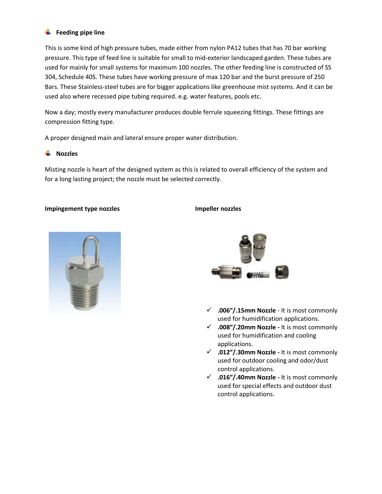# Feeding pipe line

This is some kind of high pressure tubes, made either from nylon PA12 tubes that has 70 bar working pressure. This type of feed line is suitable for small to mid-exterior landscaped garden. These tubes are used for mainly for small systems for maximum 100 nozzles. The other feeding line is constructed of SS 304, Schedule 40S. These tubes have working pressure of max 120 bar and the burst pressure of 250 Bars. These Stainless-steel tubes are for bigger applications like greenhouse mist systems. And it can be used also where recessed pipe tubing required. e.g. water features, pools etc.

Now a day; mostly every manufacturer produces double ferrule squeezing fittings. These fittings are compression fitting type.

A proper designed main and lateral ensure proper water distribution.

### **Nozzles**

Misting nozzle is heart of the designed system as this is related to overall efficiency of the system and for a long lasting project; the nozzle must be selected correctly.

#### **Impingement type nozzles Impeller nozzles**





- **.006″/.15mm Nozzle**  It is most commonly used for humidification applications.
- **.008″/.20mm Nozzle -** It is most commonly used for humidification and cooling applications.
- **.012″/.30mm Nozzle -** It is most commonly used for outdoor cooling and odor/dust control applications.
- **.016″/.40mm Nozzle -** It is most commonly used for special effects and outdoor dust control applications.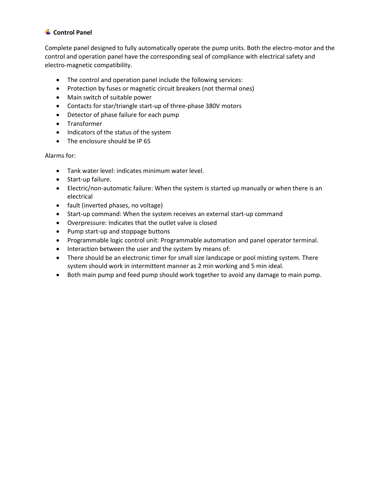# **↓** Control Panel

Complete panel designed to fully automatically operate the pump units. Both the electro-motor and the control and operation panel have the corresponding seal of compliance with electrical safety and electro-magnetic compatibility.

- The control and operation panel include the following services:
- Protection by fuses or magnetic circuit breakers (not thermal ones)
- Main switch of suitable power
- Contacts for star/triangle start-up of three-phase 380V motors
- Detector of phase failure for each pump
- Transformer
- Indicators of the status of the system
- The enclosure should be IP 65

### Alarms for:

- Tank water level: indicates minimum water level.
- Start-up failure.
- Electric/non-automatic failure: When the system is started up manually or when there is an electrical
- fault (inverted phases, no voltage)
- Start-up command: When the system receives an external start-up command
- Overpressure: Indicates that the outlet valve is closed
- Pump start-up and stoppage buttons
- Programmable logic control unit: Programmable automation and panel operator terminal.
- Interaction between the user and the system by means of:
- There should be an electronic timer for small size landscape or pool misting system. There system should work in intermittent manner as 2 min working and 5 min ideal.
- Both main pump and feed pump should work together to avoid any damage to main pump.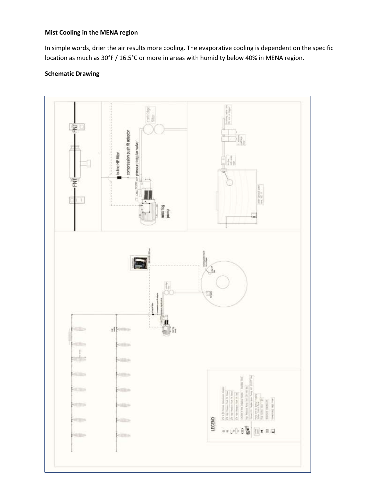# **Mist Cooling in the MENA region**

In simple words, drier the air results more cooling. The evaporative cooling is dependent on the specific location as much as 30°F / 16.5°C or more in areas with humidity below 40% in MENA region.

# **Schematic Drawing**